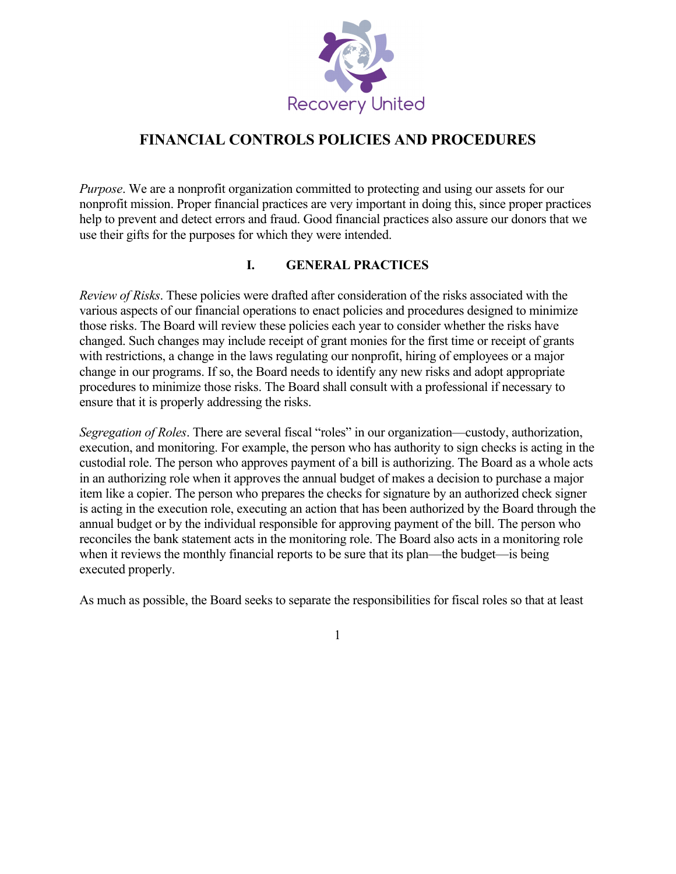

# **FINANCIAL CONTROLS POLICIES AND PROCEDURES**

*Purpose*. We are a nonprofit organization committed to protecting and using our assets for our nonprofit mission. Proper financial practices are very important in doing this, since proper practices help to prevent and detect errors and fraud. Good financial practices also assure our donors that we use their gifts for the purposes for which they were intended.

## **I. GENERAL PRACTICES**

*Review of Risks*. These policies were drafted after consideration of the risks associated with the various aspects of our financial operations to enact policies and procedures designed to minimize those risks. The Board will review these policies each year to consider whether the risks have changed. Such changes may include receipt of grant monies for the first time or receipt of grants with restrictions, a change in the laws regulating our nonprofit, hiring of employees or a major change in our programs. If so, the Board needs to identify any new risks and adopt appropriate procedures to minimize those risks. The Board shall consult with a professional if necessary to ensure that it is properly addressing the risks.

*Segregation of Roles*. There are several fiscal "roles" in our organization—custody, authorization, execution, and monitoring. For example, the person who has authority to sign checks is acting in the custodial role. The person who approves payment of a bill is authorizing. The Board as a whole acts in an authorizing role when it approves the annual budget of makes a decision to purchase a major item like a copier. The person who prepares the checks for signature by an authorized check signer is acting in the execution role, executing an action that has been authorized by the Board through the annual budget or by the individual responsible for approving payment of the bill. The person who reconciles the bank statement acts in the monitoring role. The Board also acts in a monitoring role when it reviews the monthly financial reports to be sure that its plan—the budget—is being executed properly.

As much as possible, the Board seeks to separate the responsibilities for fiscal roles so that at least

1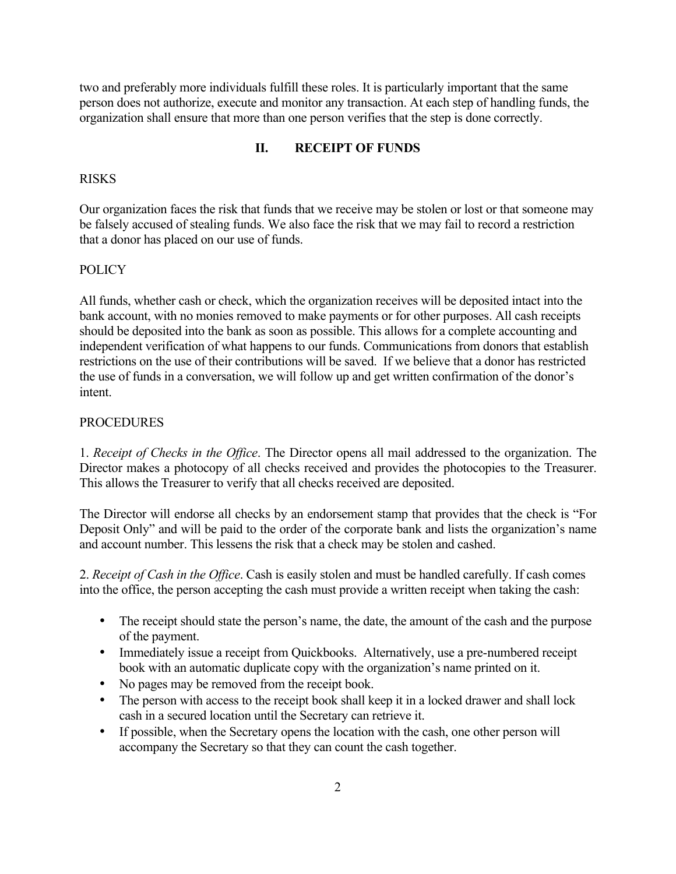two and preferably more individuals fulfill these roles. It is particularly important that the same person does not authorize, execute and monitor any transaction. At each step of handling funds, the organization shall ensure that more than one person verifies that the step is done correctly.

### **II. RECEIPT OF FUNDS**

#### RISKS

Our organization faces the risk that funds that we receive may be stolen or lost or that someone may be falsely accused of stealing funds. We also face the risk that we may fail to record a restriction that a donor has placed on our use of funds.

#### **POLICY**

All funds, whether cash or check, which the organization receives will be deposited intact into the bank account, with no monies removed to make payments or for other purposes. All cash receipts should be deposited into the bank as soon as possible. This allows for a complete accounting and independent verification of what happens to our funds. Communications from donors that establish restrictions on the use of their contributions will be saved. If we believe that a donor has restricted the use of funds in a conversation, we will follow up and get written confirmation of the donor's intent.

### PROCEDURES

1. *Receipt of Checks in the Office*. The Director opens all mail addressed to the organization. The Director makes a photocopy of all checks received and provides the photocopies to the Treasurer. This allows the Treasurer to verify that all checks received are deposited.

The Director will endorse all checks by an endorsement stamp that provides that the check is "For Deposit Only" and will be paid to the order of the corporate bank and lists the organization's name and account number. This lessens the risk that a check may be stolen and cashed.

2. *Receipt of Cash in the Office*. Cash is easily stolen and must be handled carefully. If cash comes into the office, the person accepting the cash must provide a written receipt when taking the cash:

- The receipt should state the person's name, the date, the amount of the cash and the purpose of the payment.
- Immediately issue a receipt from Quickbooks. Alternatively, use a pre-numbered receipt book with an automatic duplicate copy with the organization's name printed on it.
- No pages may be removed from the receipt book.
- The person with access to the receipt book shall keep it in a locked drawer and shall lock cash in a secured location until the Secretary can retrieve it.
- If possible, when the Secretary opens the location with the cash, one other person will accompany the Secretary so that they can count the cash together.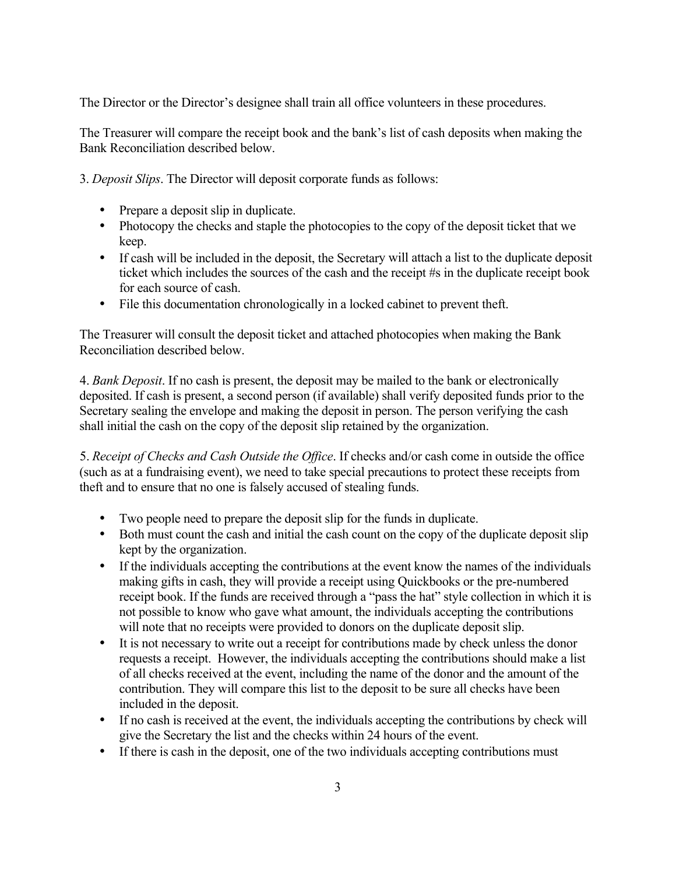The Director or the Director's designee shall train all office volunteers in these procedures.

The Treasurer will compare the receipt book and the bank's list of cash deposits when making the Bank Reconciliation described below.

3. *Deposit Slips*. The Director will deposit corporate funds as follows:

- Prepare a deposit slip in duplicate.
- Photocopy the checks and staple the photocopies to the copy of the deposit ticket that we keep.
- If cash will be included in the deposit, the Secretary will attach a list to the duplicate deposit ticket which includes the sources of the cash and the receipt #s in the duplicate receipt book for each source of cash.
- File this documentation chronologically in a locked cabinet to prevent theft.

The Treasurer will consult the deposit ticket and attached photocopies when making the Bank Reconciliation described below.

4. *Bank Deposit*. If no cash is present, the deposit may be mailed to the bank or electronically deposited. If cash is present, a second person (if available) shall verify deposited funds prior to the Secretary sealing the envelope and making the deposit in person. The person verifying the cash shall initial the cash on the copy of the deposit slip retained by the organization.

5. *Receipt of Checks and Cash Outside the Office*. If checks and/or cash come in outside the office (such as at a fundraising event), we need to take special precautions to protect these receipts from theft and to ensure that no one is falsely accused of stealing funds.

- Two people need to prepare the deposit slip for the funds in duplicate.
- Both must count the cash and initial the cash count on the copy of the duplicate deposit slip kept by the organization.
- If the individuals accepting the contributions at the event know the names of the individuals making gifts in cash, they will provide a receipt using Quickbooks or the pre-numbered receipt book. If the funds are received through a "pass the hat" style collection in which it is not possible to know who gave what amount, the individuals accepting the contributions will note that no receipts were provided to donors on the duplicate deposit slip.
- It is not necessary to write out a receipt for contributions made by check unless the donor requests a receipt. However, the individuals accepting the contributions should make a list of all checks received at the event, including the name of the donor and the amount of the contribution. They will compare this list to the deposit to be sure all checks have been included in the deposit.
- If no cash is received at the event, the individuals accepting the contributions by check will give the Secretary the list and the checks within 24 hours of the event.
- If there is cash in the deposit, one of the two individuals accepting contributions must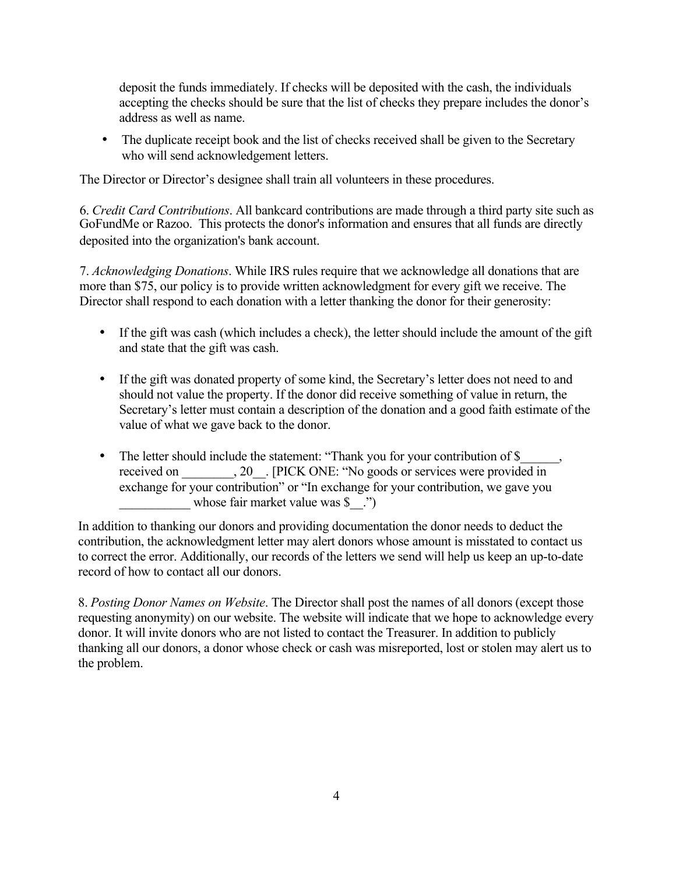deposit the funds immediately. If checks will be deposited with the cash, the individuals accepting the checks should be sure that the list of checks they prepare includes the donor's address as well as name.

• The duplicate receipt book and the list of checks received shall be given to the Secretary who will send acknowledgement letters.

The Director or Director's designee shall train all volunteers in these procedures.

6. *Credit Card Contributions*. All bankcard contributions are made through a third party site such as GoFundMe or Razoo. This protects the donor's information and ensures that all funds are directly deposited into the organization's bank account.

7. *Acknowledging Donations*. While IRS rules require that we acknowledge all donations that are more than \$75, our policy is to provide written acknowledgment for every gift we receive. The Director shall respond to each donation with a letter thanking the donor for their generosity:

- If the gift was cash (which includes a check), the letter should include the amount of the gift and state that the gift was cash.
- If the gift was donated property of some kind, the Secretary's letter does not need to and should not value the property. If the donor did receive something of value in return, the Secretary's letter must contain a description of the donation and a good faith estimate of the value of what we gave back to the donor.
- The letter should include the statement: "Thank you for your contribution of \$ received on  $\qquad \qquad , 20$  . [PICK ONE: "No goods or services were provided in exchange for your contribution" or "In exchange for your contribution, we gave you whose fair market value was  $\$ ")

In addition to thanking our donors and providing documentation the donor needs to deduct the contribution, the acknowledgment letter may alert donors whose amount is misstated to contact us to correct the error. Additionally, our records of the letters we send will help us keep an up-to-date record of how to contact all our donors.

8. *Posting Donor Names on Website*. The Director shall post the names of all donors (except those requesting anonymity) on our website. The website will indicate that we hope to acknowledge every donor. It will invite donors who are not listed to contact the Treasurer. In addition to publicly thanking all our donors, a donor whose check or cash was misreported, lost or stolen may alert us to the problem.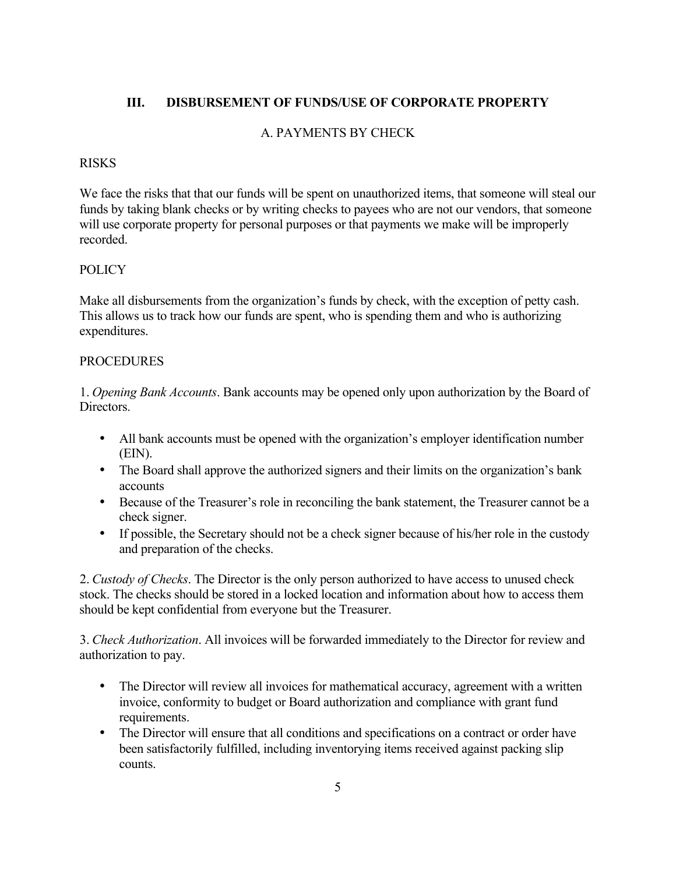### **III. DISBURSEMENT OF FUNDS/USE OF CORPORATE PROPERTY**

### A. PAYMENTS BY CHECK

### RISKS

We face the risks that that our funds will be spent on unauthorized items, that someone will steal our funds by taking blank checks or by writing checks to payees who are not our vendors, that someone will use corporate property for personal purposes or that payments we make will be improperly recorded.

### **POLICY**

Make all disbursements from the organization's funds by check, with the exception of petty cash. This allows us to track how our funds are spent, who is spending them and who is authorizing expenditures.

### **PROCEDURES**

1. *Opening Bank Accounts*. Bank accounts may be opened only upon authorization by the Board of Directors.

- All bank accounts must be opened with the organization's employer identification number (EIN).
- The Board shall approve the authorized signers and their limits on the organization's bank accounts
- Because of the Treasurer's role in reconciling the bank statement, the Treasurer cannot be a check signer.
- If possible, the Secretary should not be a check signer because of his/her role in the custody and preparation of the checks.

2. *Custody of Checks*. The Director is the only person authorized to have access to unused check stock. The checks should be stored in a locked location and information about how to access them should be kept confidential from everyone but the Treasurer.

3. *Check Authorization*. All invoices will be forwarded immediately to the Director for review and authorization to pay.

- The Director will review all invoices for mathematical accuracy, agreement with a written invoice, conformity to budget or Board authorization and compliance with grant fund requirements.
- The Director will ensure that all conditions and specifications on a contract or order have been satisfactorily fulfilled, including inventorying items received against packing slip counts.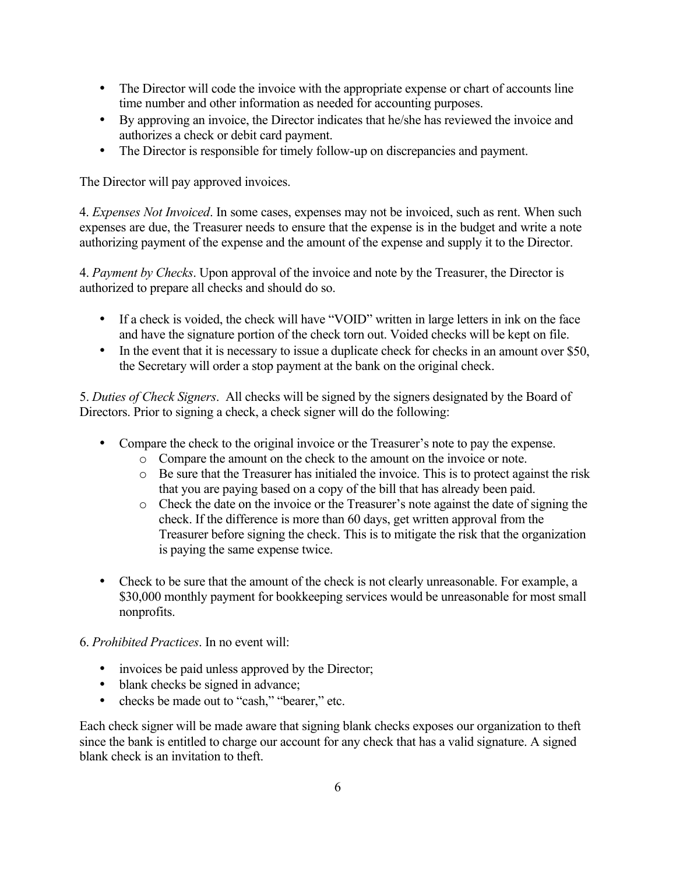- The Director will code the invoice with the appropriate expense or chart of accounts line time number and other information as needed for accounting purposes.
- By approving an invoice, the Director indicates that he/she has reviewed the invoice and authorizes a check or debit card payment.
- The Director is responsible for timely follow-up on discrepancies and payment.

The Director will pay approved invoices.

4. *Expenses Not Invoiced*. In some cases, expenses may not be invoiced, such as rent. When such expenses are due, the Treasurer needs to ensure that the expense is in the budget and write a note authorizing payment of the expense and the amount of the expense and supply it to the Director.

4. *Payment by Checks*. Upon approval of the invoice and note by the Treasurer, the Director is authorized to prepare all checks and should do so.

- If a check is voided, the check will have "VOID" written in large letters in ink on the face and have the signature portion of the check torn out. Voided checks will be kept on file.
- In the event that it is necessary to issue a duplicate check for checks in an amount over \$50, the Secretary will order a stop payment at the bank on the original check.

5. *Duties of Check Signers*. All checks will be signed by the signers designated by the Board of Directors. Prior to signing a check, a check signer will do the following:

- Compare the check to the original invoice or the Treasurer's note to pay the expense.
	- o Compare the amount on the check to the amount on the invoice or note.
	- o Be sure that the Treasurer has initialed the invoice. This is to protect against the risk that you are paying based on a copy of the bill that has already been paid.
	- o Check the date on the invoice or the Treasurer's note against the date of signing the check. If the difference is more than 60 days, get written approval from the Treasurer before signing the check. This is to mitigate the risk that the organization is paying the same expense twice.
- Check to be sure that the amount of the check is not clearly unreasonable. For example, a \$30,000 monthly payment for bookkeeping services would be unreasonable for most small nonprofits.
- 6. *Prohibited Practices*. In no event will:
	- invoices be paid unless approved by the Director;
	- blank checks be signed in advance;
	- checks be made out to "cash," "bearer," etc.

Each check signer will be made aware that signing blank checks exposes our organization to theft since the bank is entitled to charge our account for any check that has a valid signature. A signed blank check is an invitation to theft.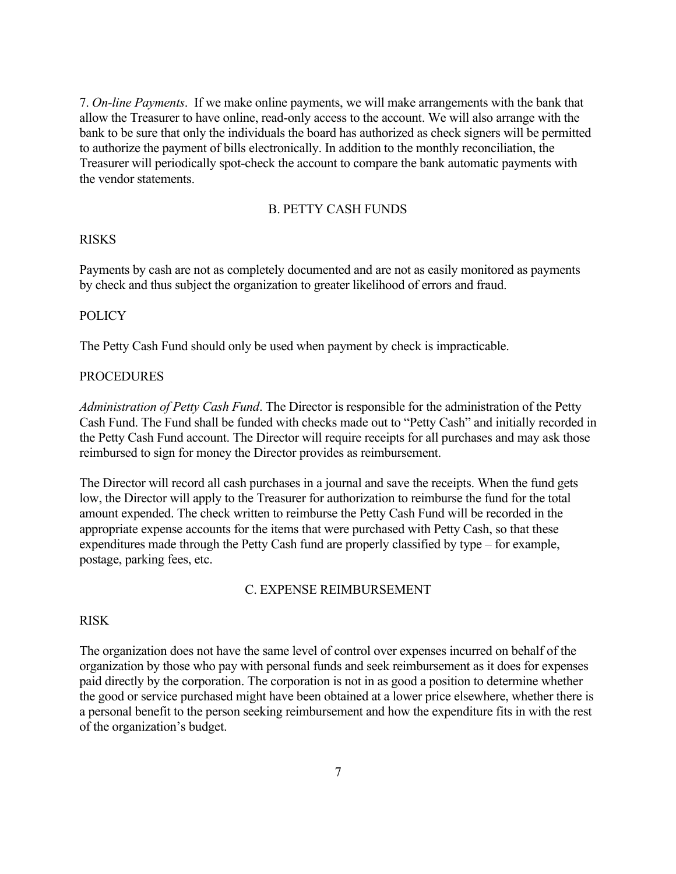7. *On-line Payments*. If we make online payments, we will make arrangements with the bank that allow the Treasurer to have online, read-only access to the account. We will also arrange with the bank to be sure that only the individuals the board has authorized as check signers will be permitted to authorize the payment of bills electronically. In addition to the monthly reconciliation, the Treasurer will periodically spot-check the account to compare the bank automatic payments with the vendor statements.

#### B. PETTY CASH FUNDS

#### RISKS

Payments by cash are not as completely documented and are not as easily monitored as payments by check and thus subject the organization to greater likelihood of errors and fraud.

#### **POLICY**

The Petty Cash Fund should only be used when payment by check is impracticable.

#### **PROCEDURES**

*Administration of Petty Cash Fund*. The Director is responsible for the administration of the Petty Cash Fund. The Fund shall be funded with checks made out to "Petty Cash" and initially recorded in the Petty Cash Fund account. The Director will require receipts for all purchases and may ask those reimbursed to sign for money the Director provides as reimbursement.

The Director will record all cash purchases in a journal and save the receipts. When the fund gets low, the Director will apply to the Treasurer for authorization to reimburse the fund for the total amount expended. The check written to reimburse the Petty Cash Fund will be recorded in the appropriate expense accounts for the items that were purchased with Petty Cash, so that these expenditures made through the Petty Cash fund are properly classified by type – for example, postage, parking fees, etc.

#### C. EXPENSE REIMBURSEMENT

### RISK

The organization does not have the same level of control over expenses incurred on behalf of the organization by those who pay with personal funds and seek reimbursement as it does for expenses paid directly by the corporation. The corporation is not in as good a position to determine whether the good or service purchased might have been obtained at a lower price elsewhere, whether there is a personal benefit to the person seeking reimbursement and how the expenditure fits in with the rest of the organization's budget.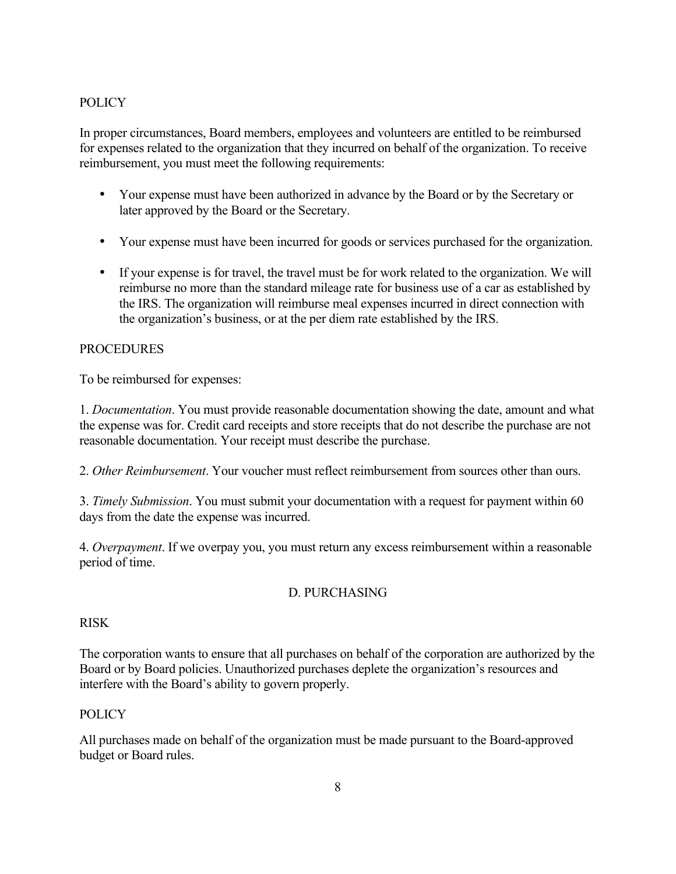### **POLICY**

In proper circumstances, Board members, employees and volunteers are entitled to be reimbursed for expenses related to the organization that they incurred on behalf of the organization. To receive reimbursement, you must meet the following requirements:

- Your expense must have been authorized in advance by the Board or by the Secretary or later approved by the Board or the Secretary.
- Your expense must have been incurred for goods or services purchased for the organization.
- If your expense is for travel, the travel must be for work related to the organization. We will reimburse no more than the standard mileage rate for business use of a car as established by the IRS. The organization will reimburse meal expenses incurred in direct connection with the organization's business, or at the per diem rate established by the IRS.

### **PROCEDURES**

To be reimbursed for expenses:

1. *Documentation*. You must provide reasonable documentation showing the date, amount and what the expense was for. Credit card receipts and store receipts that do not describe the purchase are not reasonable documentation. Your receipt must describe the purchase.

2. *Other Reimbursement*. Your voucher must reflect reimbursement from sources other than ours.

3. *Timely Submission*. You must submit your documentation with a request for payment within 60 days from the date the expense was incurred.

4. *Overpayment*. If we overpay you, you must return any excess reimbursement within a reasonable period of time.

## D. PURCHASING

### RISK

The corporation wants to ensure that all purchases on behalf of the corporation are authorized by the Board or by Board policies. Unauthorized purchases deplete the organization's resources and interfere with the Board's ability to govern properly.

### POLICY

All purchases made on behalf of the organization must be made pursuant to the Board-approved budget or Board rules.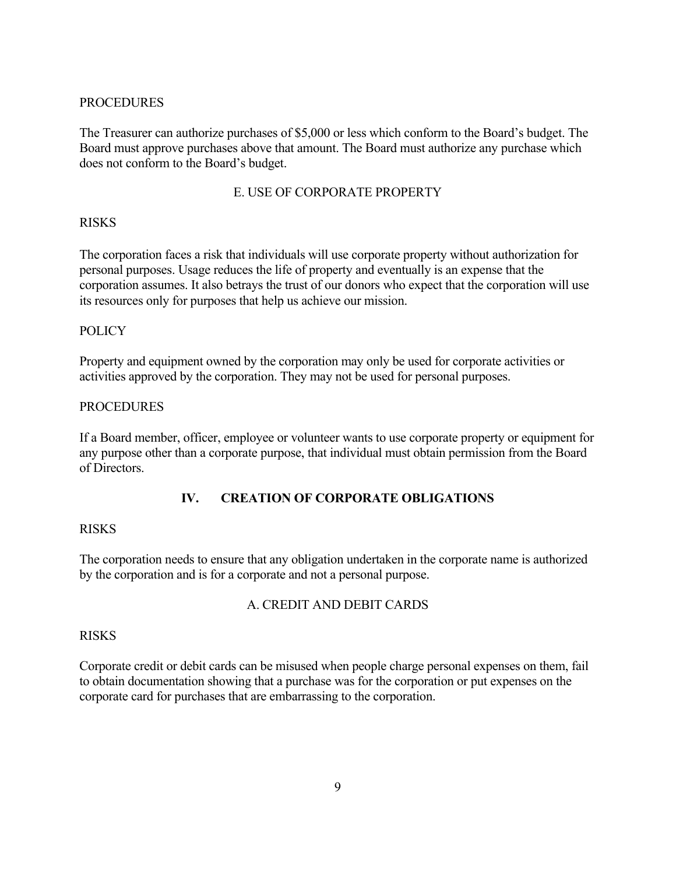### **PROCEDURES**

The Treasurer can authorize purchases of \$5,000 or less which conform to the Board's budget. The Board must approve purchases above that amount. The Board must authorize any purchase which does not conform to the Board's budget.

### E. USE OF CORPORATE PROPERTY

### **RISKS**

The corporation faces a risk that individuals will use corporate property without authorization for personal purposes. Usage reduces the life of property and eventually is an expense that the corporation assumes. It also betrays the trust of our donors who expect that the corporation will use its resources only for purposes that help us achieve our mission.

### POLICY

Property and equipment owned by the corporation may only be used for corporate activities or activities approved by the corporation. They may not be used for personal purposes.

### **PROCEDURES**

If a Board member, officer, employee or volunteer wants to use corporate property or equipment for any purpose other than a corporate purpose, that individual must obtain permission from the Board of Directors.

## **IV. CREATION OF CORPORATE OBLIGATIONS**

### RISKS

The corporation needs to ensure that any obligation undertaken in the corporate name is authorized by the corporation and is for a corporate and not a personal purpose.

## A. CREDIT AND DEBIT CARDS

### RISKS

Corporate credit or debit cards can be misused when people charge personal expenses on them, fail to obtain documentation showing that a purchase was for the corporation or put expenses on the corporate card for purchases that are embarrassing to the corporation.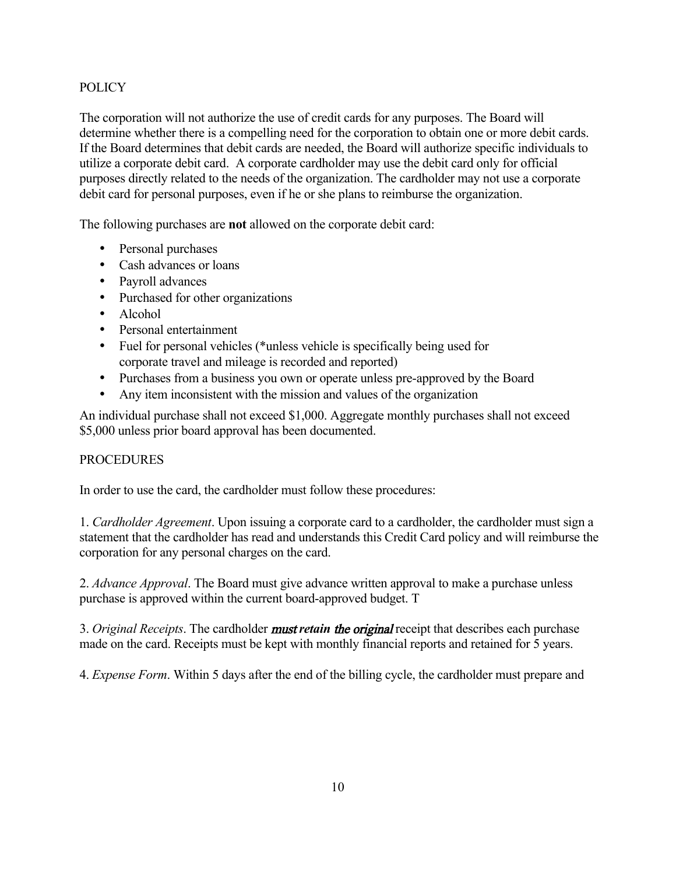## POLICY

The corporation will not authorize the use of credit cards for any purposes. The Board will determine whether there is a compelling need for the corporation to obtain one or more debit cards. If the Board determines that debit cards are needed, the Board will authorize specific individuals to utilize a corporate debit card. A corporate cardholder may use the debit card only for official purposes directly related to the needs of the organization. The cardholder may not use a corporate debit card for personal purposes, even if he or she plans to reimburse the organization.

The following purchases are **not** allowed on the corporate debit card:

- Personal purchases
- Cash advances or loans
- Payroll advances
- Purchased for other organizations
- Alcohol
- Personal entertainment
- Fuel for personal vehicles (\*unless vehicle is specifically being used for corporate travel and mileage is recorded and reported)
- Purchases from a business you own or operate unless pre-approved by the Board
- Any item inconsistent with the mission and values of the organization

An individual purchase shall not exceed \$1,000. Aggregate monthly purchases shall not exceed \$5,000 unless prior board approval has been documented.

### **PROCEDURES**

In order to use the card, the cardholder must follow these procedures:

1. *Cardholder Agreement*. Upon issuing a corporate card to a cardholder, the cardholder must sign a statement that the cardholder has read and understands this Credit Card policy and will reimburse the corporation for any personal charges on the card.

2. *Advance Approval*. The Board must give advance written approval to make a purchase unless purchase is approved within the current board-approved budget. T

3. *Original Receipts*. The cardholder must *retain* the original receipt that describes each purchase made on the card. Receipts must be kept with monthly financial reports and retained for 5 years.

4. *Expense Form*. Within 5 days after the end of the billing cycle, the cardholder must prepare and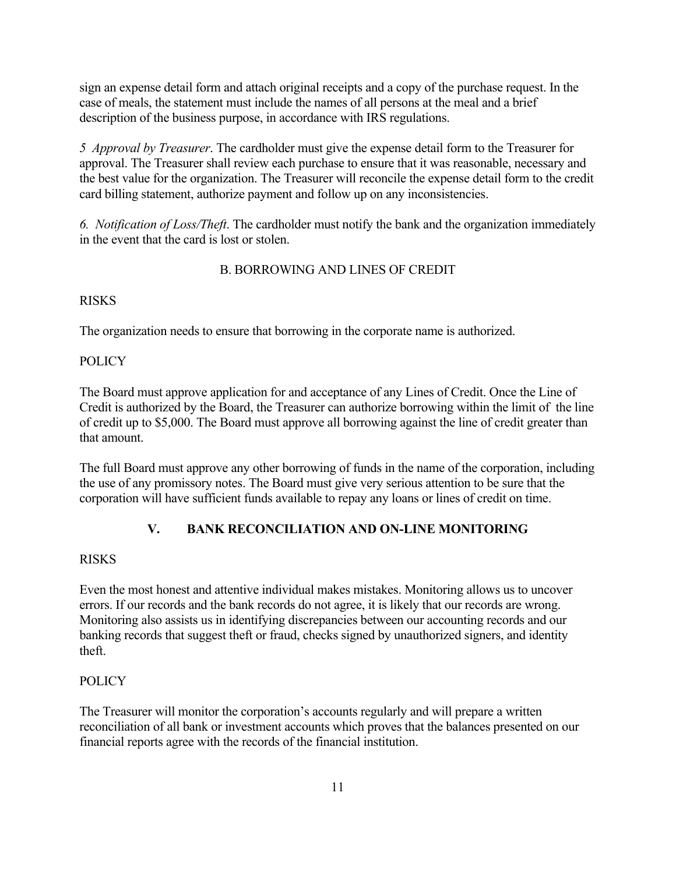sign an expense detail form and attach original receipts and a copy of the purchase request. In the case of meals, the statement must include the names of all persons at the meal and a brief description of the business purpose, in accordance with IRS regulations.

*5 Approval by Treasurer*. The cardholder must give the expense detail form to the Treasurer for approval. The Treasurer shall review each purchase to ensure that it was reasonable, necessary and the best value for the organization. The Treasurer will reconcile the expense detail form to the credit card billing statement, authorize payment and follow up on any inconsistencies.

*6. Notification of Loss/Theft*. The cardholder must notify the bank and the organization immediately in the event that the card is lost or stolen.

### B. BORROWING AND LINES OF CREDIT

### **RISKS**

The organization needs to ensure that borrowing in the corporate name is authorized.

### **POLICY**

The Board must approve application for and acceptance of any Lines of Credit. Once the Line of Credit is authorized by the Board, the Treasurer can authorize borrowing within the limit of the line of credit up to \$5,000. The Board must approve all borrowing against the line of credit greater than that amount.

The full Board must approve any other borrowing of funds in the name of the corporation, including the use of any promissory notes. The Board must give very serious attention to be sure that the corporation will have sufficient funds available to repay any loans or lines of credit on time.

## **V. BANK RECONCILIATION AND ON-LINE MONITORING**

### RISKS

Even the most honest and attentive individual makes mistakes. Monitoring allows us to uncover errors. If our records and the bank records do not agree, it is likely that our records are wrong. Monitoring also assists us in identifying discrepancies between our accounting records and our banking records that suggest theft or fraud, checks signed by unauthorized signers, and identity theft.

## **POLICY**

The Treasurer will monitor the corporation's accounts regularly and will prepare a written reconciliation of all bank or investment accounts which proves that the balances presented on our financial reports agree with the records of the financial institution.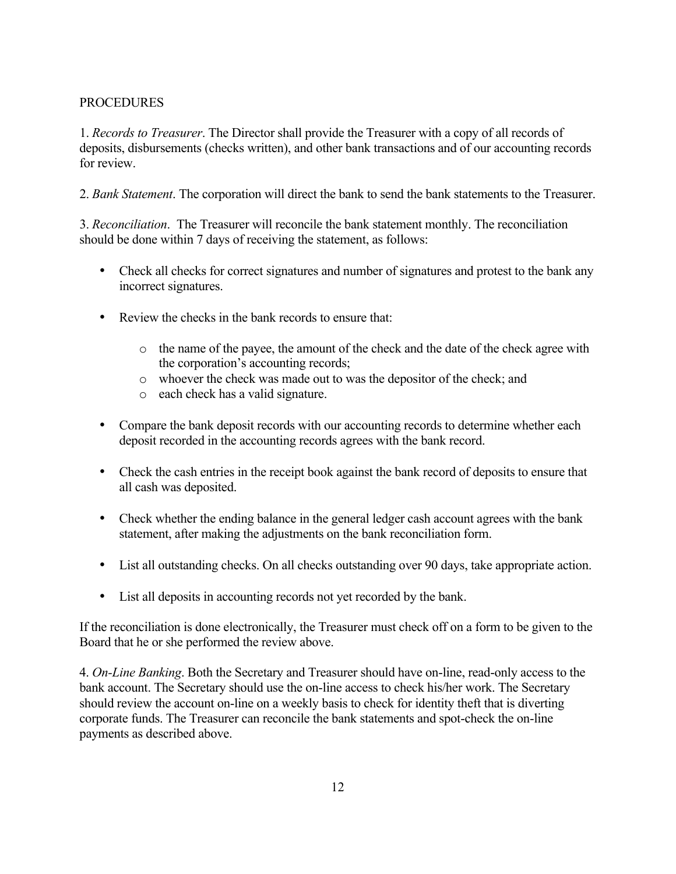### PROCEDURES

1. *Records to Treasurer*. The Director shall provide the Treasurer with a copy of all records of deposits, disbursements (checks written), and other bank transactions and of our accounting records for review.

2. *Bank Statement*. The corporation will direct the bank to send the bank statements to the Treasurer.

3. *Reconciliation*. The Treasurer will reconcile the bank statement monthly. The reconciliation should be done within 7 days of receiving the statement, as follows:

- Check all checks for correct signatures and number of signatures and protest to the bank any incorrect signatures.
- Review the checks in the bank records to ensure that:
	- o the name of the payee, the amount of the check and the date of the check agree with the corporation's accounting records;
	- o whoever the check was made out to was the depositor of the check; and
	- o each check has a valid signature.
- Compare the bank deposit records with our accounting records to determine whether each deposit recorded in the accounting records agrees with the bank record.
- Check the cash entries in the receipt book against the bank record of deposits to ensure that all cash was deposited.
- Check whether the ending balance in the general ledger cash account agrees with the bank statement, after making the adjustments on the bank reconciliation form.
- List all outstanding checks. On all checks outstanding over 90 days, take appropriate action.
- List all deposits in accounting records not yet recorded by the bank.

If the reconciliation is done electronically, the Treasurer must check off on a form to be given to the Board that he or she performed the review above.

4. *On-Line Banking*. Both the Secretary and Treasurer should have on-line, read-only access to the bank account. The Secretary should use the on-line access to check his/her work. The Secretary should review the account on-line on a weekly basis to check for identity theft that is diverting corporate funds. The Treasurer can reconcile the bank statements and spot-check the on-line payments as described above.